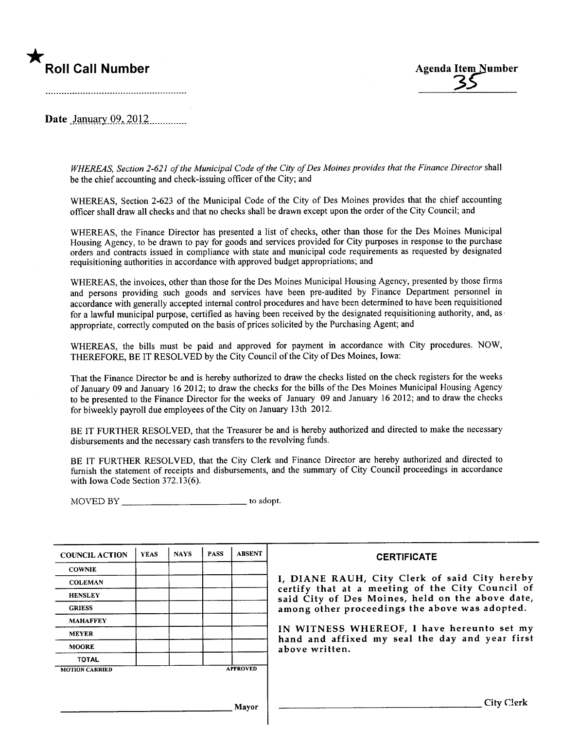# \*



Date )~ntl~tlyQ9.~\_\_~\_OJi..\_\_\_\_\_\_\_\_\_\_

WHEREAS, Section 2-621 of the Municipal Code of the City of Des Moines provides that the Finance Director shall be the chief accounting and check-issuing officer of the City; and

WHEREAS, Section 2-623 of the Municipal Code of the City of Des Moines provides that the chief accounting officer shall draw all checks and that no checks shall be drawn except upon the order of the City Council; and

WHEREAS, the Finance Director has presented a list of checks, other than those for the Des Moines Municipal Housing Agency, to be drawn to pay for goods and services provided for City purposes in response to the purchase orders and contracts issued in compliance with state and municipal code requirements as requested by designated requisitioning authorities in accordance with approved budget appropriations; and

WHEREAS, the invoices, other than those for the Des Moines Municipal Housing Agency, presented by those firms and persons providing such goods and services have been pre-audited by Finance Department personnel in accordance with generally accepted internal control procedures and have been determined to have been requisitioned for a lawful municipal purpose, certified as having been received by the designated requisitioning authority, and, as appropriate, correctly computed on the basis of prices solicited by the Purchasing Agent; and

WHEREAS, the bils must be paid and approved for payment in accordance with City procedures. NOW, THEREFORE, BE IT RESOLVED by the City Council of the City of Des Moines, Iowa:

That the Finance Director be and is hereby authorized to draw the checks listed on the check registers for the weeks of January 09 and January 162012; to draw the checks for the bils of the Des Moines Municipal Housing Agency to be presented to the Finance Director for the weeks of January 09 and January 16 2012; and to draw the checks for biweekly payroll due employees of the City on January 13th 2012.

BE IT FURTHER RESOLVED, that the Treasurer be and is hereby authorized and directed to make the necessary disbursements and the necessary cash transfers to the revolving fuds.

BE IT FURTHER RESOLVED, that the City Clerk and Finance Director are hereby authorized and directed to furnish the statement of receipts and disbursements, and the summary of City Council proceedings in accordance with Iowa Code Section 372.13(6).

MOVED BY to adopt.

| <b>COUNCIL ACTION</b> | <b>YEAS</b> | <b>NAYS</b> | <b>PASS</b> | <b>ABSENT</b>   | <b>CERTIFICATE</b>                                                                                   |
|-----------------------|-------------|-------------|-------------|-----------------|------------------------------------------------------------------------------------------------------|
| <b>COWNIE</b>         |             |             |             |                 |                                                                                                      |
| <b>COLEMAN</b>        |             |             |             |                 | I, DIANE RAUH, City Clerk of said City hereby                                                        |
| <b>HENSLEY</b>        |             |             |             |                 | certify that at a meeting of the City Council of<br>said City of Des Moines, held on the above date, |
| <b>GRIESS</b>         |             |             |             |                 | among other proceedings the above was adopted.                                                       |
| <b>MAHAFFEY</b>       |             |             |             |                 |                                                                                                      |
| <b>MEYER</b>          |             |             |             |                 | IN WITNESS WHEREOF, I have hereunto set my<br>hand and affixed my seal the day and year first        |
| <b>MOORE</b>          |             |             |             |                 | above written.                                                                                       |
| <b>TOTAL</b>          |             |             |             |                 |                                                                                                      |
| <b>MOTION CARRIED</b> |             |             |             | <b>APPROVED</b> |                                                                                                      |
|                       |             |             |             |                 |                                                                                                      |
|                       |             |             |             |                 | City Clerk                                                                                           |
|                       |             |             |             | Mayor           |                                                                                                      |
|                       |             |             |             |                 |                                                                                                      |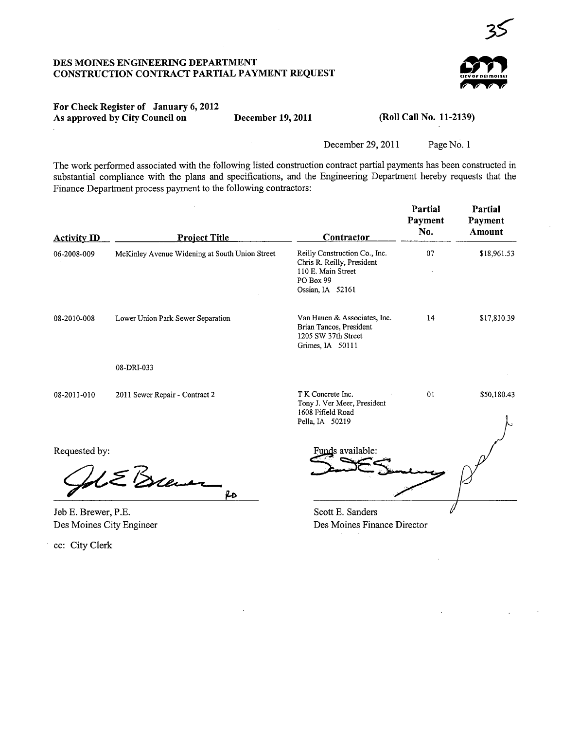

#### For Check Register of January 6, 2012 As approved by City Council on December 19, 2011

(Roll Call No. 11-2139)

December 29, 2011 Page No. 1

The work performed associated with the following listed construction contract partial payments has been constructed in substantial compliance with the plans and specifications, and the Engineering Department hereby requests that the Finance Department process payment to the following contractors:

| <b>Activity ID</b>   | <b>Project Title</b>                           | Contractor                                                                                                         | Partial<br>Payment<br>No. | Partial<br>Payment<br>Amount |
|----------------------|------------------------------------------------|--------------------------------------------------------------------------------------------------------------------|---------------------------|------------------------------|
| 06-2008-009          | McKinley Avenue Widening at South Union Street | Reilly Construction Co., Inc.<br>Chris R. Reilly, President<br>110 E. Main Street<br>PO Box 99<br>Ossian, IA 52161 | 07                        | \$18,961.53                  |
| 08-2010-008          | Lower Union Park Sewer Separation              | Van Hauen & Associates, Inc.<br>Brian Tancos, President<br>1205 SW 37th Street<br>Grimes, IA 50111                 | 14                        | \$17,810.39                  |
|                      | 08-DRI-033                                     |                                                                                                                    |                           |                              |
| 08-2011-010          | 2011 Sewer Repair - Contract 2                 | T K Concrete Inc.<br>Tony J. Ver Meer, President<br>1608 Fifield Road<br>Pella, IA 50219                           | 01                        | \$50,180.43                  |
| Requested by:        | E Brew<br>fo                                   | Funds available:                                                                                                   |                           |                              |
| $Ieh F$ Rrewer $P F$ |                                                | Scott E. Sanders                                                                                                   |                           |                              |

Jeb E. Brewer, P.E. Des Moines City Engineer

cc: City Clerk

Scott E. Sanders Des Moines Finance Director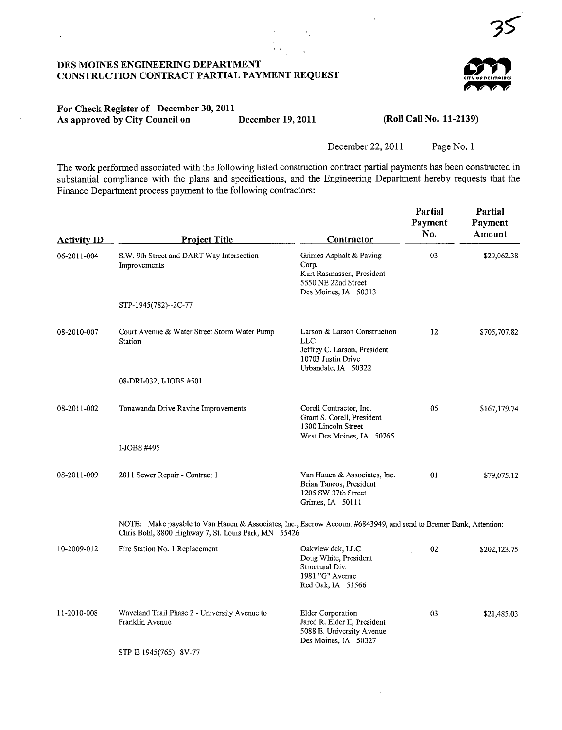

## For Check Register of December 30, 2011 As approved by City Council on December 19, 2011 (Roll Call No. 11-2139)

 $\ddot{\phantom{0}}$ 

December 22, 2011 Page No. 1

 $\bar{z}$ 

The work performed associated with the following listed construction contract partial payments has been constructed in substantial compliance with the plans and specifications, and the Engineering Department hereby requests that the Finance Department process payment to the following contractors:

 $\epsilon_{\rm{g}}$ 

| <b>Activity ID</b> | <b>Project Title</b>                                                                                                                                                     | Contractor                                                                                                       | Partial<br>Payment<br>No. | Partial<br>Payment<br>Amount |
|--------------------|--------------------------------------------------------------------------------------------------------------------------------------------------------------------------|------------------------------------------------------------------------------------------------------------------|---------------------------|------------------------------|
| 06-2011-004        | S.W. 9th Street and DART Way Intersection<br>Improvements                                                                                                                | Grimes Asphalt & Paving<br>Corp.<br>Kurt Rasmussen, President<br>5550 NE 22nd Street<br>Des Moines, IA 50313     | 03                        | \$29,062.38                  |
|                    | STP-1945(782)--2C-77                                                                                                                                                     |                                                                                                                  |                           |                              |
| 08-2010-007        | Court Avenue & Water Street Storm Water Pump<br>Station                                                                                                                  | Larson & Larson Construction<br>LLC<br>Jeffrey C. Larson, President<br>10703 Justin Drive<br>Urbandale, IA 50322 | 12                        | \$705,707.82                 |
|                    | 08-DRI-032, I-JOBS #501                                                                                                                                                  |                                                                                                                  |                           |                              |
| 08-2011-002        | Tonawanda Drive Ravine Improvements                                                                                                                                      | Corell Contractor, Inc.<br>Grant S. Corell, President<br>1300 Lincoln Street<br>West Des Moines, IA 50265        | 05                        | \$167,179.74                 |
|                    | I-JOBS #495                                                                                                                                                              |                                                                                                                  |                           |                              |
| 08-2011-009        | 2011 Sewer Repair - Contract 1                                                                                                                                           | Van Hauen & Associates, Inc.<br>Brian Tancos, President<br>1205 SW 37th Street<br>Grimes, IA 50111               | 01                        | \$79,075.12                  |
|                    | NOTE: Make payable to Van Hauen & Associates, Inc., Escrow Account #6843949, and send to Bremer Bank, Attention:<br>Chris Bohl, 8800 Highway 7, St. Louis Park, MN 55426 |                                                                                                                  |                           |                              |
| 10-2009-012        | Fire Station No. 1 Replacement                                                                                                                                           | Oakview dck, LLC<br>Doug White, President<br>Structural Div.<br>1981 "G" Avenue<br>Red Oak, IA 51566             | 02                        | \$202,123.75                 |
| 11-2010-008        | Waveland Trail Phase 2 - University Avenue to<br>Franklin Avenue                                                                                                         | <b>Elder Corporation</b><br>Jared R. Elder II, President<br>5088 E. University Avenue<br>Des Moines, IA 50327    | 03                        | \$21,485.03                  |
|                    | STP-E-1945(765)--8V-77                                                                                                                                                   |                                                                                                                  |                           |                              |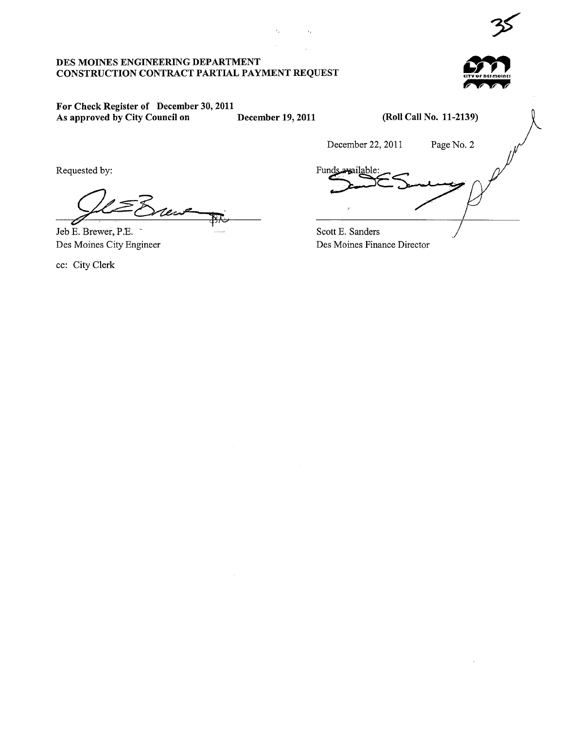$\epsilon_{\rm a}$ 

 $\bar{a}_1$ 



# For Check Register of December 30, 2011 As approved by City Council on December 19, 2011

(Roll Call No. 11-2139)

Requested by:

Jeb E. Brewer, P.E. **FR** 

Des Moines City Engineer

cc: City Clerk

December 22, 2011 Page No. 2<br>Funds available: Scott E. Sanders  $\overline{\prime}$ /

Des Moines Finance Director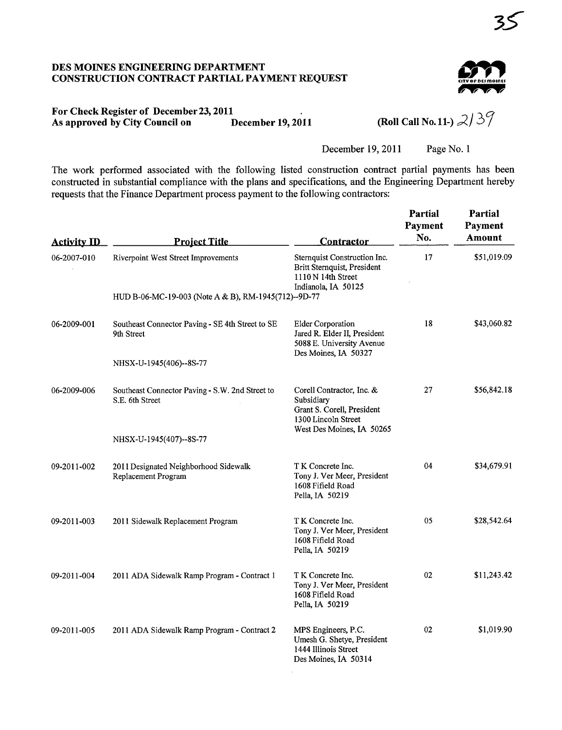

# For Check Register of December 23, 2011<br>As approved by City Council on December 19, 2011 As approved by City Council on

(Roll Call No. 11-)  $2/39$ 

December 19, 2011 Page No. 1

The work performed associated with the following listed construction contract partial payments has been constructed in substantial compliance with the plans and specifications, and the Engineering Department hereby requests that the Finance Department process payment to the following contractors:

| <b>Activity ID</b> | <b>Project Title</b>                                               | <b>Contractor</b>                                                                                                         | Partial<br>Payment<br>No. | Partial<br>Payment<br>Amount |
|--------------------|--------------------------------------------------------------------|---------------------------------------------------------------------------------------------------------------------------|---------------------------|------------------------------|
| 06-2007-010        | Riverpoint West Street Improvements                                | Sternquist Construction Inc.<br>Britt Sternquist, President<br>$1110 N$ 14th Street<br>Indianola, IA 50125                | 17                        | \$51,019.09                  |
|                    | HUD B-06-MC-19-003 (Note A & B), RM-1945(712)--9D-77               |                                                                                                                           |                           |                              |
| 06-2009-001        | Southeast Connector Paving - SE 4th Street to SE<br>9th Street     | <b>Elder Corporation</b><br>Jared R. Elder II, President<br>5088 E. University Avenue<br>Des Moines, IA 50327             | 18                        | \$43,060.82                  |
|                    | NHSX-U-1945(406)--8S-77                                            |                                                                                                                           |                           |                              |
| 06-2009-006        | Southeast Connector Paving - S.W. 2nd Street to<br>S.E. 6th Street | Corell Contractor, Inc. &<br>Subsidiary<br>Grant S. Corell, President<br>1300 Lincoln Street<br>West Des Moines, IA 50265 | 27                        | \$56,842.18                  |
|                    | NHSX-U-1945(407)--8S-77                                            |                                                                                                                           |                           |                              |
| 09-2011-002        | 2011 Designated Neighborhood Sidewalk<br>Replacement Program       | T K Concrete Inc.<br>Tony J. Ver Meer, President<br>1608 Fifield Road<br>Pella, IA 50219                                  | 04                        | \$34,679.91                  |
| 09-2011-003        | 2011 Sidewalk Replacement Program                                  | T K Concrete Inc.<br>Tony J. Ver Meer, President<br>1608 Fifield Road<br>Pella, IA 50219                                  | 05                        | \$28,542.64                  |
| 09-2011-004        | 2011 ADA Sidewalk Ramp Program - Contract 1                        | T K Concrete Inc.<br>Tony J. Ver Meer, President<br>1608 Fifield Road<br>Pella, IA 50219                                  | 02                        | \$11,243.42                  |
| 09-2011-005        | 2011 ADA Sidewalk Ramp Program - Contract 2                        | MPS Engineers, P.C.<br>Umesh G. Shetye, President<br>1444 Illinois Street<br>Des Moines, IA 50314                         | 02                        | \$1,019.90                   |

 $\alpha$